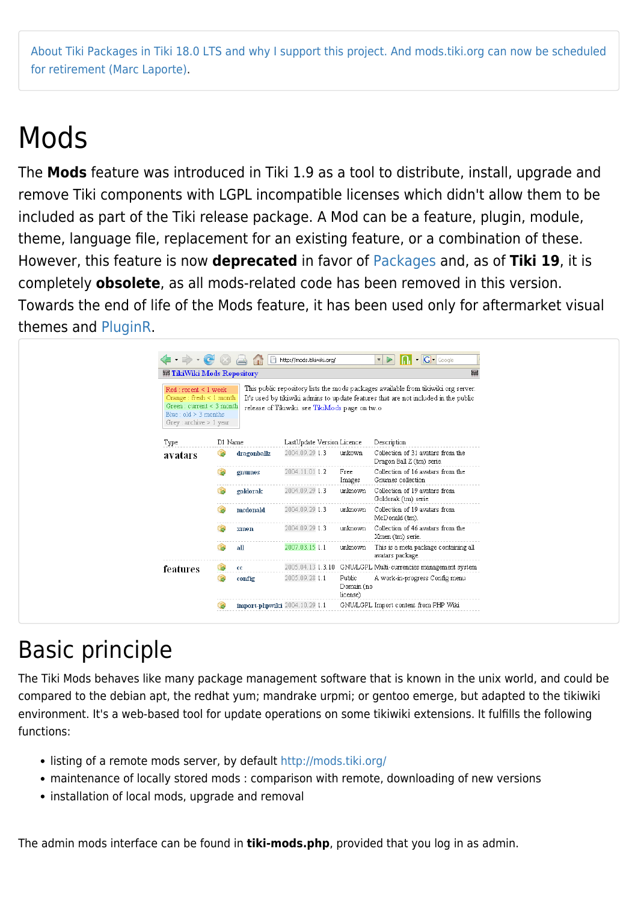[About Tiki Packages in Tiki 18.0 LTS and why I support this project. And mods.tiki.org can now be scheduled](https://tiki.org/forumthread67983-About-Tiki-Packages-in-Tiki-18-0-LTS-and-why-I-support-this-project-And-mods-tiki-org-can-now-be-scheduled-for-retirement) [for retirement \(Marc Laporte\).](https://tiki.org/forumthread67983-About-Tiki-Packages-in-Tiki-18-0-LTS-and-why-I-support-this-project-And-mods-tiki-org-can-now-be-scheduled-for-retirement)

## Mods

The **Mods** feature was introduced in Tiki 1.9 as a tool to distribute, install, upgrade and remove Tiki components with LGPL incompatible licenses which didn't allow them to be included as part of the Tiki release package. A Mod can be a feature, plugin, module, theme, language file, replacement for an existing feature, or a combination of these. However, this feature is now **deprecated** in favor of [Packages](https://doc.tiki.org/Packages) and, as of **Tiki 19**, it is completely **obsolete**, as all mods-related code has been removed in this version. Towards the end of life of the Mods feature, it has been used only for aftermarket visual themes and [PluginR](http://doc.tiki.org/PluginR).

|                                                                                                                                                   | <b>丽 TikiWiki Mods Repository</b> |                               |                                                |                                  |                                                                                                                                                                           |  |
|---------------------------------------------------------------------------------------------------------------------------------------------------|-----------------------------------|-------------------------------|------------------------------------------------|----------------------------------|---------------------------------------------------------------------------------------------------------------------------------------------------------------------------|--|
| $Red:recent < 1$ week<br>Orange: fresh $\leq 1$ month<br>Green: current < $3$ month<br>Blue: $old \geq 3$ months<br>Grey : $\archive \geq 1$ year |                                   |                               | release of Tikiwiki, see TikiMods page on tw.o |                                  | This public repository lists the mods packages available from tikiwiki org server.<br>It's used by tikiwiki admins to update features that are not included in the public |  |
| Type                                                                                                                                              | D1 Name                           |                               | LastUpdate Version Licence                     |                                  | Description                                                                                                                                                               |  |
| avatars                                                                                                                                           |                                   | dragonballz                   | 2004.09.29 1.3                                 | unkown                           | Collection of 31 avatars from the<br>Dragon Ball Z (tm) serie.                                                                                                            |  |
|                                                                                                                                                   |                                   | gnumes                        | 2004.11.01 1.2                                 | Free<br>Images                   | Collection of 16 avatars from the<br>Gnumes collection                                                                                                                    |  |
|                                                                                                                                                   | $\cdots\cdots\cdots\cdots\cdots$  | goldorak                      | 2004.09.29 1.3                                 | unknown                          | Collection of 19 avatars from<br>Goldorak (tm) serie.                                                                                                                     |  |
|                                                                                                                                                   |                                   | mcdonald                      | 2004.09.29 1.3                                 | unknown                          | Collection of 19 avatars from<br>McDonald (tm).                                                                                                                           |  |
|                                                                                                                                                   | .                                 | xmen                          | 2004.09.29 1.3                                 | unknown                          | Collection of 46 avatars from the<br>Xmen (tm) serie.                                                                                                                     |  |
|                                                                                                                                                   |                                   | all                           | 2007.03.15 1.1                                 | unknown                          | This is a meta package containing all<br>avatars package.                                                                                                                 |  |
| features                                                                                                                                          | B                                 | $_{cc}$                       |                                                |                                  | 2005.04.13 1.3.10 GNU/LGPL Multi-currencies management system                                                                                                             |  |
|                                                                                                                                                   |                                   | config                        | 2005.09.28 1.1                                 | Public<br>Domain (no<br>license) | A work-in-progress Config menu                                                                                                                                            |  |
|                                                                                                                                                   |                                   | import-phpwiki 2004.10.29 1.1 |                                                |                                  | GNU/LGPL Import content from PHP Wiki                                                                                                                                     |  |

## Basic principle

The Tiki Mods behaves like many package management software that is known in the unix world, and could be compared to the debian apt, the redhat yum; mandrake urpmi; or gentoo emerge, but adapted to the tikiwiki environment. It's a web-based tool for update operations on some tikiwiki extensions. It fulfills the following functions:

- listing of a remote mods server, by default<http://mods.tiki.org/>
- maintenance of locally stored mods : comparison with remote, downloading of new versions
- installation of local mods, upgrade and removal

The admin mods interface can be found in **tiki-mods.php**, provided that you log in as admin.